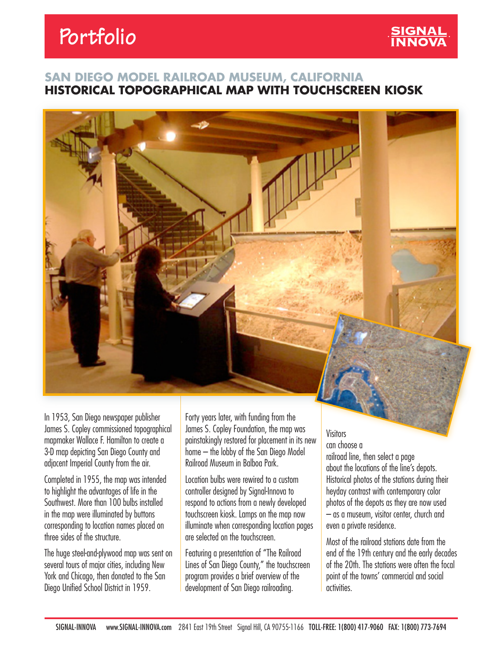# **Portfolio**

### **SAN DIEGO MODEL RAILROAD MUSEUM, CALIFORNIA HISTORICAL TOPOGRAPHICAL MAP WITH TOUCHSCREEN KIOSK**



In 1953, San Diego newspaper publisher James S. Copley commissioned topographical mapmaker Wallace F. Hamilton to create a 3-D map depicting San Diego County and adjacent Imperial County from the air.

Completed in 1955, the map was intended to highlight the advantages of life in the Southwest. More than 100 bulbs installed in the map were illuminated by buttons corresponding to location names placed on three sides of the structure.

The huge steel-and-plywood map was sent on several tours of major cities, including New York and Chicago, then donated to the San Diego Unified School District in 1959.

Forty years later, with funding from the James S. Copley Foundation, the map was painstakingly restored for placement in its new home – the lobby of the San Diego Model Railroad Museum in Balboa Park.

Location bulbs were rewired to a custom controller designed by Signal-Innova to respond to actions from a newly developed touchscreen kiosk. Lamps on the map now illuminate when corresponding location pages are selected on the touchscreen.

Featuring a presentation of "The Railroad Lines of San Diego County," the touchscreen program provides a brief overview of the development of San Diego railroading.

## Visitors

can choose a railroad line, then select a page about the locations of the line's depots. Historical photos of the stations during their heyday contrast with contemporary color photos of the depots as they are now used – as a museum, visitor center, church and even a private residence.

Most of the railroad stations date from the end of the 19th century and the early decades of the 20th. The stations were often the focal point of the towns' commercial and social activities.